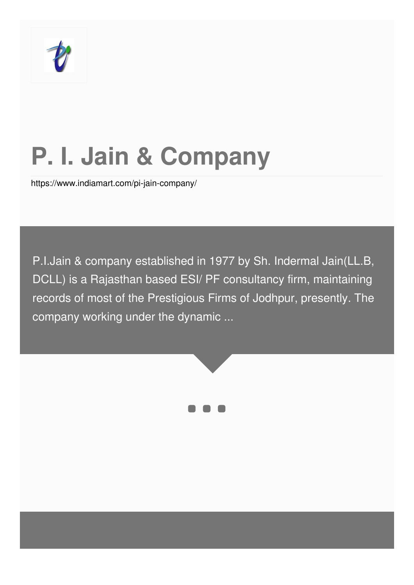

# **P. I. Jain & Company**

<https://www.indiamart.com/pi-jain-company/>

P.I.Jain & company established in 1977 by Sh. Indermal Jain(LL.B, DCLL) is a Rajasthan based ESI/ PF consultancy firm, maintaining records of most of the Prestigious Firms of Jodhpur, presently. The company working under the dynamic ...



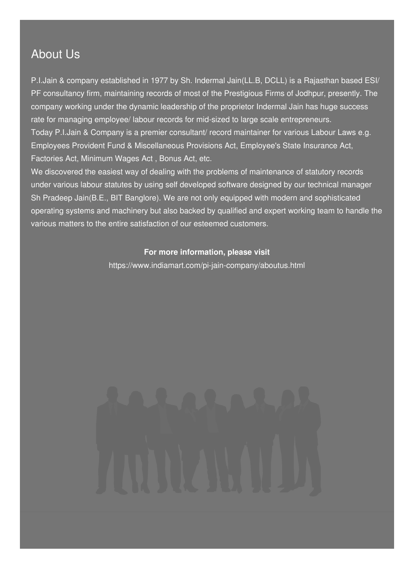### About Us

P.I.Jain & company established in 1977 by Sh. Indermal Jain(LL.B, DCLL) is a Rajasthan based ESI/ PF consultancy firm, maintaining records of most of the Prestigious Firms of Jodhpur, presently. The company working under the dynamic leadership of the proprietor Indermal Jain has huge success rate for managing employee/ labour records for mid-sized to large scale entrepreneurs. Today P.I.Jain & Company is a premier consultant/ record maintainer for various Labour Laws e.g. Employees Provident Fund & Miscellaneous Provisions Act, Employee's State Insurance Act, Factories Act, Minimum Wages Act , Bonus Act, etc.

We discovered the easiest way of dealing with the problems of maintenance of statutory records under various labour statutes by using self developed software designed by our technical manager Sh Pradeep Jain(B.E., BIT Banglore). We are not only equipped with modern and sophisticated operating systems and machinery but also backed by qualified and expert working team to handle the various matters to the entire satisfaction of our esteemed customers.

### **For more information, please visit**

<https://www.indiamart.com/pi-jain-company/aboutus.html>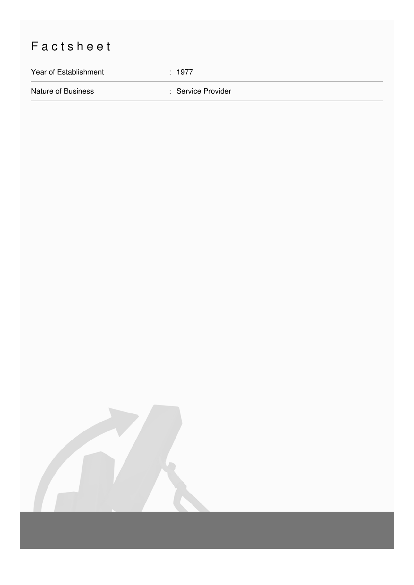## Factsheet

Year of Establishment : 1977

Nature of Business **in American Service Provider** : Service Provider